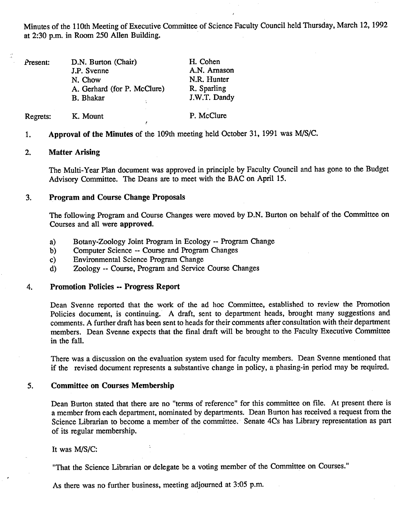Minutes of the 110th Meeting of Executive Committee of Science Faculty Council held Thursday, March 12, 1992 at 2:30 p.m. in Room *250* Allen Building.

| Present: | D.N. Burton (Chair)         | H. Cohen     |
|----------|-----------------------------|--------------|
|          | J.P. Svenne                 | A.N. Arnason |
|          | N. Chow                     | N.R. Hunter  |
|          | A. Gerhard (for P. McClure) | R. Sparling  |
|          | <b>B.</b> Bhakar            | J.W.T. Dandy |
| Regrets: | K. Mount                    | P. McClure   |

1. **Approval of the Minutes** of the 109th meeting held October 31, 1991 was MIS/C.

### 2. **Matter Arising**

The Multi-Year Plan document was approved in principle by Faculty Council and has gone to the Budget Advisory Committee. The Deans are to meet with the BAC on April *15.* 

# **3. Program and Course Change Proposals**

The following Program and Course Changes were moved by D.N. Burton on behalf of the Committee on Courses and all were **approved.** 

- Botany-Zoology Joint Program in Ecology -- Program Change a)
- Computer Science -- Course and Program Changes  $b)$
- Environmental Science Program Change  $c)$
- Zoology -- Course, Program and Service Course Changes  $\mathbf{d}$

## 4. **Promotion Policies** -- **Progress Report**

Dean Svenne reported that the work of the ad hoc Committee, established to review the Promotion Policies document, is continuing. A draft, sent to department heads, brought many suggestions and comments. A further draft has been sent to heads for their comments after consultation with their department members. Dean Svenne expects that the final draft will be brought to the Faculty Executive Committee in the *fall.* 

There was a discussion on the evaluation system used for faculty members. Dean Svenne mentioned that if the revised document represents a substantive change in policy, a phasing-in period may be required.

### *5.* **Committee on Courses Membership**

Dean Burton stated that there are no "terms of reference" for this committee on file. At present there is a member from each department, nominated by departments. Dean Burton has received a request from the Science Librarian to become a member of the committee. Senate 4Cs has Library representation as part of its regular membership.

It was M/S/C:

"That the Science Librarian or delegate be a voting member of the Committee on Courses."

As there was no further business, meeting adjourned at 3:05 p.m.